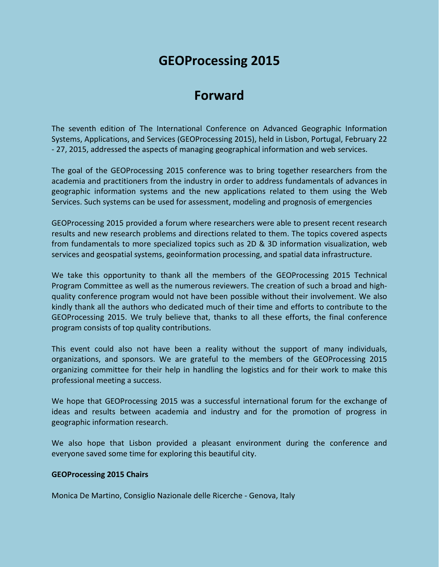## **GEOProcessing 2015**

## **Forward**

The seventh edition of The International Conference on Advanced Geographic Information Systems, Applications, and Services (GEOProcessing 2015), held in Lisbon, Portugal, February 22 - 27, 2015, addressed the aspects of managing geographical information and web services.

The goal of the GEOProcessing 2015 conference was to bring together researchers from the academia and practitioners from the industry in order to address fundamentals of advances in geographic information systems and the new applications related to them using the Web Services. Such systems can be used for assessment, modeling and prognosis of emergencies

GEOProcessing 2015 provided a forum where researchers were able to present recent research results and new research problems and directions related to them. The topics covered aspects from fundamentals to more specialized topics such as 2D & 3D information visualization, web services and geospatial systems, geoinformation processing, and spatial data infrastructure.

We take this opportunity to thank all the members of the GEOProcessing 2015 Technical Program Committee as well as the numerous reviewers. The creation of such a broad and highquality conference program would not have been possible without their involvement. We also kindly thank all the authors who dedicated much of their time and efforts to contribute to the GEOProcessing 2015. We truly believe that, thanks to all these efforts, the final conference program consists of top quality contributions.

This event could also not have been a reality without the support of many individuals, organizations, and sponsors. We are grateful to the members of the GEOProcessing 2015 organizing committee for their help in handling the logistics and for their work to make this professional meeting a success.

We hope that GEOProcessing 2015 was a successful international forum for the exchange of ideas and results between academia and industry and for the promotion of progress in geographic information research.

We also hope that Lisbon provided a pleasant environment during the conference and everyone saved some time for exploring this beautiful city.

## **GEOProcessing 2015 Chairs**

Monica De Martino, Consiglio Nazionale delle Ricerche - Genova, Italy